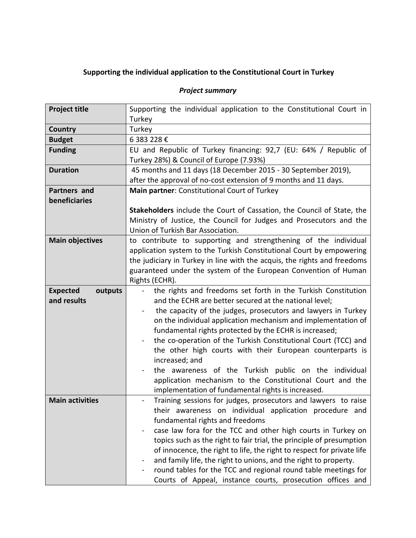## **Supporting the individual application to the Constitutional Court in Turkey**

## *Project summary*

| <b>Project title</b>       | Supporting the individual application to the Constitutional Court in             |
|----------------------------|----------------------------------------------------------------------------------|
|                            | Turkey                                                                           |
| Country                    | Turkey                                                                           |
| <b>Budget</b>              | 6 383 228 €                                                                      |
| <b>Funding</b>             | EU and Republic of Turkey financing: 92,7 (EU: 64% / Republic of                 |
|                            | Turkey 28%) & Council of Europe (7.93%)                                          |
| <b>Duration</b>            | 45 months and 11 days (18 December 2015 - 30 September 2019),                    |
|                            | after the approval of no-cost extension of 9 months and 11 days.                 |
| <b>Partners and</b>        | Main partner: Constitutional Court of Turkey                                     |
| beneficiaries              |                                                                                  |
|                            | Stakeholders include the Court of Cassation, the Council of State, the           |
|                            | Ministry of Justice, the Council for Judges and Prosecutors and the              |
|                            | Union of Turkish Bar Association.                                                |
| <b>Main objectives</b>     | to contribute to supporting and strengthening of the individual                  |
|                            | application system to the Turkish Constitutional Court by empowering             |
|                            | the judiciary in Turkey in line with the acquis, the rights and freedoms         |
|                            | guaranteed under the system of the European Convention of Human                  |
|                            | Rights (ECHR).                                                                   |
| <b>Expected</b><br>outputs | the rights and freedoms set forth in the Turkish Constitution                    |
| and results                | and the ECHR are better secured at the national level;                           |
|                            | the capacity of the judges, prosecutors and lawyers in Turkey                    |
|                            | on the individual application mechanism and implementation of                    |
|                            | fundamental rights protected by the ECHR is increased;                           |
|                            | the co-operation of the Turkish Constitutional Court (TCC) and<br>$\blacksquare$ |
|                            | the other high courts with their European counterparts is                        |
|                            | increased; and                                                                   |
|                            | the awareness of the Turkish public on the individual                            |
|                            | application mechanism to the Constitutional Court and the                        |
|                            | implementation of fundamental rights is increased.                               |
| <b>Main activities</b>     | Training sessions for judges, prosecutors and lawyers to raise                   |
|                            | their awareness on individual application procedure and                          |
|                            | fundamental rights and freedoms                                                  |
|                            | case law fora for the TCC and other high courts in Turkey on                     |
|                            | topics such as the right to fair trial, the principle of presumption             |
|                            | of innocence, the right to life, the right to respect for private life           |
|                            | and family life, the right to unions, and the right to property.                 |
|                            | round tables for the TCC and regional round table meetings for                   |
|                            | Courts of Appeal, instance courts, prosecution offices and                       |